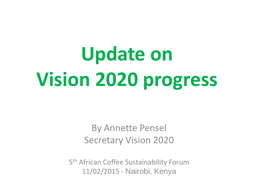# **Update on Vision 2020 progress**

#### By Annette Pensel Secretary Vision 2020

5<sup>th</sup> African Coffee Sustainability Forum 11/02/2015 - Nairobi, Kenya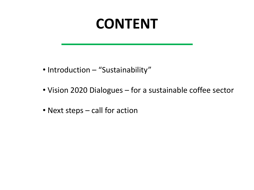### **CONTENT**

- Introduction "Sustainability"
- Vision 2020 Dialogues for a sustainable coffee sector
- Next steps call for action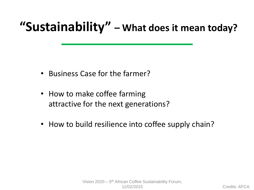#### **"Sustainability" – What does it mean today?**

- Business Case for the farmer?
- How to make coffee farming attractive for the next generations?
- How to build resilience into coffee supply chain?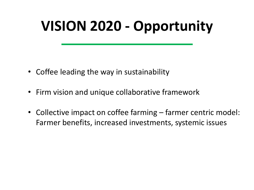# **VISION 2020 - Opportunity**

- Coffee leading the way in sustainability
- Firm vision and unique collaborative framework
- Collective impact on coffee farming farmer centric model: Farmer benefits, increased investments, systemic issues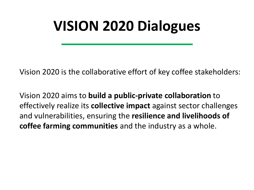## **VISION 2020 Dialogues**

Vision 2020 is the collaborative effort of key coffee stakeholders:

Vision 2020 aims to **build a public-private collaboration** to effectively realize its **collective impact** against sector challenges and vulnerabilities, ensuring the **resilience and livelihoods of coffee farming communities** and the industry as a whole.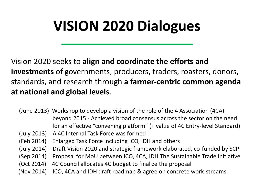# **VISION 2020 Dialogues**

Vision 2020 seeks to **align and coordinate the efforts and investments** of governments, producers, traders, roasters, donors, standards, and research through **a farmer-centric common agenda at national and global levels**.

- (June 2013) Workshop to develop a vision of the role of the 4 Association (4CA) beyond 2015 - Achieved broad consensus across the sector on the need for an effective "convening platform" (+ value of 4C Entry-level Standard)
- (July 2013) A 4C Internal Task Force was formed
- (Feb 2014) Enlarged Task Force including ICO, IDH and others
- (July 2014) Draft Vision 2020 and strategic framework elaborated, co-funded by SCP
- (Sep 2014) Proposal for MoU between ICO, 4CA, IDH The Sustainable Trade Initiative
- (Oct 2014) 4C Council allocates 4C budget to finalize the proposal
- (Nov 2014) ICO, 4CA and IDH draft roadmap & agree on concrete work-streams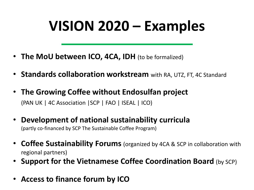# **VISION 2020 – Examples**

- **The MoU between ICO, 4CA, IDH** (to be formalized)
- **Standards collaboration workstream** with RA, UTZ, FT, 4C Standard
- **The Growing Coffee without Endosulfan project** (PAN UK | 4C Association |SCP | FAO | ISEAL | ICO)
- **Development of national sustainability curricula**  (partly co-financed by SCP The Sustainable Coffee Program)
- **Coffee Sustainability Forums** (organized by 4CA & SCP in collaboration with regional partners)
- **Support for the Vietnamese Coffee Coordination Board** (by SCP)
- **Access to finance forum by ICO**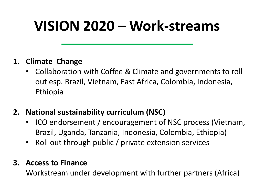## **VISION 2020 – Work-streams**

#### **1. Climate Change**

- Collaboration with Coffee & Climate and governments to roll out esp. Brazil, Vietnam, East Africa, Colombia, Indonesia, Ethiopia
- **2. National sustainability curriculum (NSC)**
	- ICO endorsement / encouragement of NSC process (Vietnam, Brazil, Uganda, Tanzania, Indonesia, Colombia, Ethiopia)
	- Roll out through public / private extension services

#### **3. Access to Finance**

Workstream under development with further partners (Africa)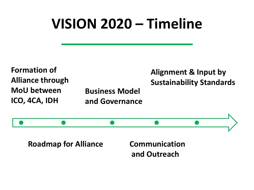## **VISION 2020 – Timeline**



**Roadmap for Alliance Communication and Outreach**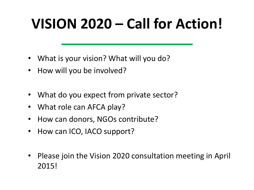# **VISION 2020 – Call for Action!**

- What is your vision? What will you do?
- How will you be involved?
- What do you expect from private sector?
- What role can AFCA play?
- How can donors, NGOs contribute?
- How can ICO, IACO support?
- Please join the Vision 2020 consultation meeting in April 2015!